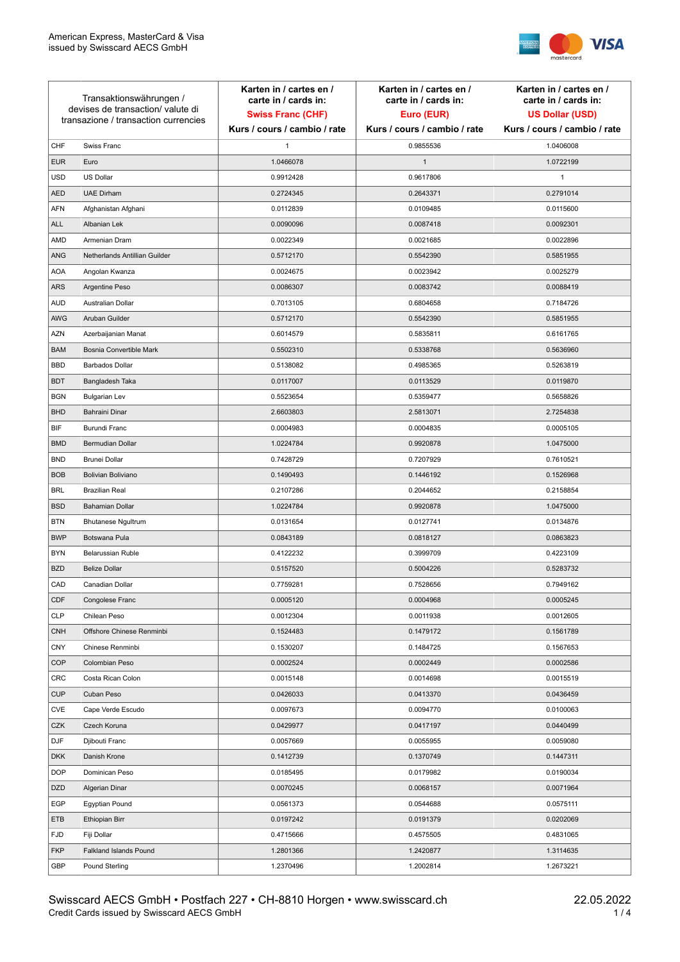

| Transaktionswährungen /<br>devises de transaction/valute di<br>transazione / transaction currencies |                               | Karten in / cartes en /<br>carte in / cards in:<br><b>Swiss Franc (CHF)</b> | Karten in / cartes en /<br>carte in / cards in:<br>Euro (EUR) | Karten in / cartes en /<br>carte in / cards in:<br><b>US Dollar (USD)</b> |
|-----------------------------------------------------------------------------------------------------|-------------------------------|-----------------------------------------------------------------------------|---------------------------------------------------------------|---------------------------------------------------------------------------|
|                                                                                                     |                               | Kurs / cours / cambio / rate                                                | Kurs / cours / cambio / rate                                  | Kurs / cours / cambio / rate                                              |
| CHF                                                                                                 | Swiss Franc                   | 1                                                                           | 0.9855536                                                     | 1.0406008                                                                 |
| <b>EUR</b>                                                                                          | Euro                          | 1.0466078                                                                   | $\mathbf{1}$                                                  | 1.0722199                                                                 |
| <b>USD</b>                                                                                          | US Dollar                     | 0.9912428                                                                   | 0.9617806                                                     | $\mathbf{1}$                                                              |
| <b>AED</b>                                                                                          | <b>UAE Dirham</b>             | 0.2724345                                                                   | 0.2643371                                                     | 0.2791014                                                                 |
| <b>AFN</b>                                                                                          | Afghanistan Afghani           | 0.0112839                                                                   | 0.0109485                                                     | 0.0115600                                                                 |
| ALL                                                                                                 | Albanian Lek                  | 0.0090096                                                                   | 0.0087418                                                     | 0.0092301                                                                 |
| AMD                                                                                                 | Armenian Dram                 | 0.0022349                                                                   | 0.0021685                                                     | 0.0022896                                                                 |
| ANG                                                                                                 | Netherlands Antillian Guilder | 0.5712170                                                                   | 0.5542390                                                     | 0.5851955                                                                 |
| <b>AOA</b>                                                                                          | Angolan Kwanza                | 0.0024675                                                                   | 0.0023942                                                     | 0.0025279                                                                 |
| ARS                                                                                                 | Argentine Peso                | 0.0086307                                                                   | 0.0083742                                                     | 0.0088419                                                                 |
| <b>AUD</b>                                                                                          | Australian Dollar             | 0.7013105                                                                   | 0.6804658                                                     | 0.7184726                                                                 |
| AWG                                                                                                 | Aruban Guilder                | 0.5712170                                                                   | 0.5542390                                                     | 0.5851955                                                                 |
| AZN                                                                                                 | Azerbaijanian Manat           | 0.6014579                                                                   | 0.5835811                                                     | 0.6161765                                                                 |
| <b>BAM</b>                                                                                          | Bosnia Convertible Mark       | 0.5502310                                                                   | 0.5338768                                                     | 0.5636960                                                                 |
| <b>BBD</b>                                                                                          | <b>Barbados Dollar</b>        | 0.5138082                                                                   | 0.4985365                                                     | 0.5263819                                                                 |
| <b>BDT</b>                                                                                          | Bangladesh Taka               | 0.0117007                                                                   | 0.0113529                                                     | 0.0119870                                                                 |
| <b>BGN</b>                                                                                          | <b>Bulgarian Lev</b>          | 0.5523654                                                                   | 0.5359477                                                     | 0.5658826                                                                 |
| <b>BHD</b>                                                                                          | Bahraini Dinar                | 2.6603803                                                                   | 2.5813071                                                     | 2.7254838                                                                 |
| BIF                                                                                                 | Burundi Franc                 | 0.0004983                                                                   | 0.0004835                                                     | 0.0005105                                                                 |
| <b>BMD</b>                                                                                          | Bermudian Dollar              | 1.0224784                                                                   | 0.9920878                                                     | 1.0475000                                                                 |
| <b>BND</b>                                                                                          | <b>Brunei Dollar</b>          | 0.7428729                                                                   | 0.7207929                                                     | 0.7610521                                                                 |
| <b>BOB</b>                                                                                          | Bolivian Boliviano            | 0.1490493                                                                   | 0.1446192                                                     | 0.1526968                                                                 |
| <b>BRL</b>                                                                                          | <b>Brazilian Real</b>         | 0.2107286                                                                   | 0.2044652                                                     | 0.2158854                                                                 |
| <b>BSD</b>                                                                                          | <b>Bahamian Dollar</b>        | 1.0224784                                                                   | 0.9920878                                                     | 1.0475000                                                                 |
| <b>BTN</b>                                                                                          | <b>Bhutanese Ngultrum</b>     | 0.0131654                                                                   | 0.0127741                                                     | 0.0134876                                                                 |
| <b>BWP</b>                                                                                          | Botswana Pula                 | 0.0843189                                                                   | 0.0818127                                                     | 0.0863823                                                                 |
| <b>BYN</b>                                                                                          | Belarussian Ruble             | 0.4122232                                                                   | 0.3999709                                                     | 0.4223109                                                                 |
| <b>BZD</b>                                                                                          | <b>Belize Dollar</b>          | 0.5157520                                                                   | 0.5004226                                                     | 0.5283732                                                                 |
| CAD                                                                                                 | Canadian Dollar               | 0.7759281                                                                   | 0.7528656                                                     | 0.7949162                                                                 |
| CDF                                                                                                 | Congolese Franc               | 0.0005120                                                                   | 0.0004968                                                     | 0.0005245                                                                 |
| <b>CLP</b>                                                                                          | Chilean Peso                  | 0.0012304                                                                   | 0.0011938                                                     | 0.0012605                                                                 |
| <b>CNH</b>                                                                                          | Offshore Chinese Renminbi     | 0.1524483                                                                   | 0.1479172                                                     | 0.1561789                                                                 |
| <b>CNY</b>                                                                                          | Chinese Renminbi              | 0.1530207                                                                   | 0.1484725                                                     | 0.1567653                                                                 |
| <b>COP</b>                                                                                          | Colombian Peso                | 0.0002524                                                                   | 0.0002449                                                     | 0.0002586                                                                 |
| CRC                                                                                                 | Costa Rican Colon             | 0.0015148                                                                   | 0.0014698                                                     | 0.0015519                                                                 |
| <b>CUP</b>                                                                                          | Cuban Peso                    | 0.0426033                                                                   | 0.0413370                                                     | 0.0436459                                                                 |
| CVE                                                                                                 | Cape Verde Escudo             | 0.0097673                                                                   | 0.0094770                                                     | 0.0100063                                                                 |
| CZK                                                                                                 | Czech Koruna                  | 0.0429977                                                                   | 0.0417197                                                     | 0.0440499                                                                 |
| <b>DJF</b>                                                                                          | Djibouti Franc                | 0.0057669                                                                   | 0.0055955                                                     | 0.0059080                                                                 |
| <b>DKK</b>                                                                                          | Danish Krone                  | 0.1412739                                                                   | 0.1370749                                                     | 0.1447311                                                                 |
| <b>DOP</b>                                                                                          | Dominican Peso                | 0.0185495                                                                   | 0.0179982                                                     | 0.0190034                                                                 |
| <b>DZD</b>                                                                                          | Algerian Dinar                | 0.0070245                                                                   | 0.0068157                                                     | 0.0071964                                                                 |
| EGP                                                                                                 | Egyptian Pound                | 0.0561373                                                                   | 0.0544688                                                     | 0.0575111                                                                 |
| ETB                                                                                                 | Ethiopian Birr                | 0.0197242                                                                   | 0.0191379                                                     | 0.0202069                                                                 |
| <b>FJD</b>                                                                                          | Fiji Dollar                   | 0.4715666                                                                   | 0.4575505                                                     | 0.4831065                                                                 |
| <b>FKP</b>                                                                                          | Falkland Islands Pound        | 1.2801366                                                                   | 1.2420877                                                     | 1.3114635                                                                 |
| GBP                                                                                                 | Pound Sterling                | 1.2370496                                                                   | 1.2002814                                                     | 1.2673221                                                                 |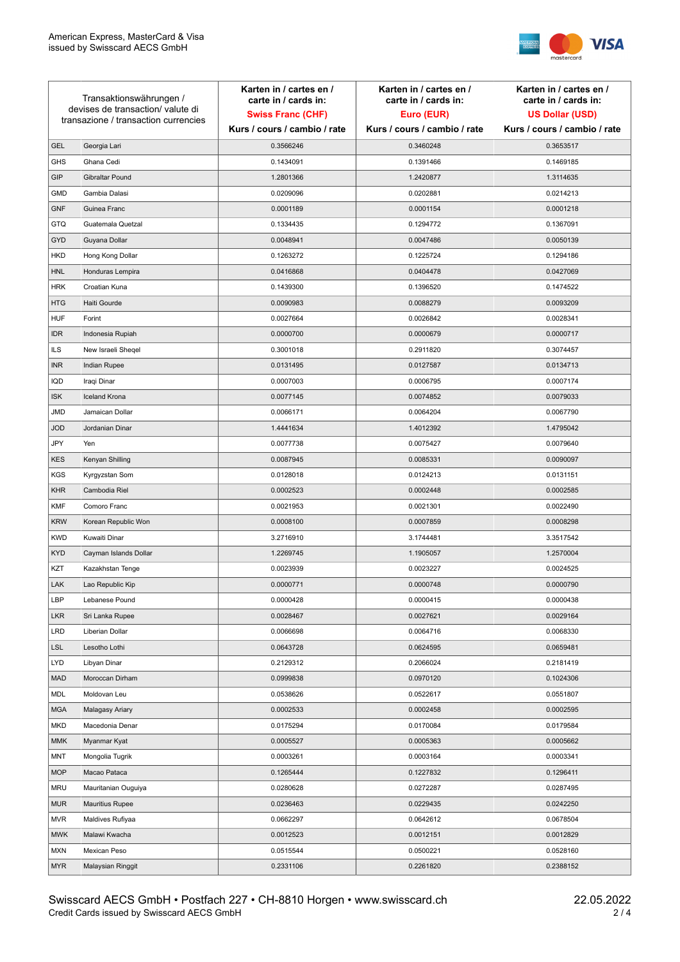

| Transaktionswährungen /<br>devises de transaction/valute di |                                      | Karten in / cartes en /<br>carte in / cards in: | Karten in / cartes en /<br>carte in / cards in: | Karten in / cartes en /<br>carte in / cards in: |
|-------------------------------------------------------------|--------------------------------------|-------------------------------------------------|-------------------------------------------------|-------------------------------------------------|
|                                                             |                                      | <b>Swiss Franc (CHF)</b>                        | Euro (EUR)                                      | <b>US Dollar (USD)</b>                          |
|                                                             | transazione / transaction currencies | Kurs / cours / cambio / rate                    | Kurs / cours / cambio / rate                    | Kurs / cours / cambio / rate                    |
| <b>GEL</b>                                                  | Georgia Lari                         | 0.3566246                                       | 0.3460248                                       | 0.3653517                                       |
| <b>GHS</b>                                                  | Ghana Cedi                           | 0.1434091                                       | 0.1391466                                       | 0.1469185                                       |
| GIP                                                         | Gibraltar Pound                      | 1.2801366                                       | 1.2420877                                       | 1.3114635                                       |
| <b>GMD</b>                                                  | Gambia Dalasi                        | 0.0209096                                       | 0.0202881                                       | 0.0214213                                       |
| <b>GNF</b>                                                  | Guinea Franc                         | 0.0001189                                       | 0.0001154                                       | 0.0001218                                       |
| <b>GTQ</b>                                                  | Guatemala Quetzal                    | 0.1334435                                       | 0.1294772                                       | 0.1367091                                       |
| GYD                                                         | Guyana Dollar                        | 0.0048941                                       | 0.0047486                                       | 0.0050139                                       |
| HKD                                                         | Hong Kong Dollar                     | 0.1263272                                       | 0.1225724                                       | 0.1294186                                       |
| <b>HNL</b>                                                  | Honduras Lempira                     | 0.0416868                                       | 0.0404478                                       | 0.0427069                                       |
| <b>HRK</b>                                                  | Croatian Kuna                        | 0.1439300                                       | 0.1396520                                       | 0.1474522                                       |
| <b>HTG</b>                                                  | Haiti Gourde                         | 0.0090983                                       | 0.0088279                                       | 0.0093209                                       |
| <b>HUF</b>                                                  | Forint                               | 0.0027664                                       | 0.0026842                                       | 0.0028341                                       |
| <b>IDR</b>                                                  | Indonesia Rupiah                     | 0.0000700                                       | 0.0000679                                       | 0.0000717                                       |
| <b>ILS</b>                                                  | New Israeli Sheqel                   | 0.3001018                                       | 0.2911820                                       | 0.3074457                                       |
| <b>INR</b>                                                  | Indian Rupee                         | 0.0131495                                       | 0.0127587                                       | 0.0134713                                       |
| IQD                                                         | Iraqi Dinar                          | 0.0007003                                       | 0.0006795                                       | 0.0007174                                       |
| <b>ISK</b>                                                  | <b>Iceland Krona</b>                 | 0.0077145                                       | 0.0074852                                       | 0.0079033                                       |
| <b>JMD</b>                                                  | Jamaican Dollar                      | 0.0066171                                       | 0.0064204                                       | 0.0067790                                       |
| <b>JOD</b>                                                  | Jordanian Dinar                      | 1.4441634                                       | 1.4012392                                       | 1.4795042                                       |
| JPY                                                         | Yen                                  | 0.0077738                                       | 0.0075427                                       | 0.0079640                                       |
| <b>KES</b>                                                  | Kenyan Shilling                      | 0.0087945                                       | 0.0085331                                       | 0.0090097                                       |
| <b>KGS</b>                                                  | Kyrgyzstan Som                       | 0.0128018                                       | 0.0124213                                       | 0.0131151                                       |
| <b>KHR</b>                                                  | Cambodia Riel                        | 0.0002523                                       | 0.0002448                                       | 0.0002585                                       |
| <b>KMF</b>                                                  | Comoro Franc                         | 0.0021953                                       | 0.0021301                                       | 0.0022490                                       |
| <b>KRW</b>                                                  | Korean Republic Won                  | 0.0008100                                       | 0.0007859                                       | 0.0008298                                       |
| <b>KWD</b>                                                  | Kuwaiti Dinar                        | 3.2716910                                       | 3.1744481                                       | 3.3517542                                       |
| <b>KYD</b>                                                  | Cayman Islands Dollar                | 1.2269745                                       | 1.1905057                                       | 1.2570004                                       |
| KZT                                                         | Kazakhstan Tenge                     | 0.0023939                                       | 0.0023227                                       | 0.0024525                                       |
| LAK                                                         | Lao Republic Kip                     | 0.0000771                                       | 0.0000748                                       | 0.0000790                                       |
| LBP                                                         | Lebanese Pound                       | 0.0000428                                       | 0.0000415                                       | 0.0000438                                       |
| <b>LKR</b>                                                  | Sri Lanka Rupee                      | 0.0028467                                       | 0.0027621                                       | 0.0029164                                       |
| LRD                                                         | Liberian Dollar                      | 0.0066698                                       | 0.0064716                                       | 0.0068330                                       |
| <b>LSL</b>                                                  | Lesotho Lothi                        | 0.0643728                                       | 0.0624595                                       | 0.0659481                                       |
| LYD                                                         | Libyan Dinar                         | 0.2129312                                       | 0.2066024                                       | 0.2181419                                       |
| <b>MAD</b>                                                  | Moroccan Dirham                      | 0.0999838                                       | 0.0970120                                       | 0.1024306                                       |
| MDL                                                         | Moldovan Leu                         | 0.0538626                                       | 0.0522617                                       | 0.0551807                                       |
| <b>MGA</b>                                                  | Malagasy Ariary                      | 0.0002533                                       | 0.0002458                                       | 0.0002595                                       |
| MKD                                                         | Macedonia Denar                      | 0.0175294                                       | 0.0170084                                       | 0.0179584                                       |
| <b>MMK</b>                                                  | Myanmar Kyat                         | 0.0005527                                       | 0.0005363                                       | 0.0005662                                       |
| <b>MNT</b>                                                  | Mongolia Tugrik                      | 0.0003261                                       | 0.0003164                                       | 0.0003341                                       |
| <b>MOP</b>                                                  | Macao Pataca                         | 0.1265444                                       | 0.1227832                                       | 0.1296411                                       |
| <b>MRU</b>                                                  | Mauritanian Ouguiya                  | 0.0280628                                       | 0.0272287                                       | 0.0287495                                       |
| <b>MUR</b>                                                  | <b>Mauritius Rupee</b>               | 0.0236463                                       | 0.0229435                                       | 0.0242250                                       |
| <b>MVR</b>                                                  | Maldives Rufiyaa                     | 0.0662297                                       | 0.0642612                                       | 0.0678504                                       |
| <b>MWK</b>                                                  | Malawi Kwacha                        | 0.0012523                                       | 0.0012151                                       | 0.0012829                                       |
| MXN                                                         | Mexican Peso                         | 0.0515544                                       | 0.0500221                                       | 0.0528160                                       |
| <b>MYR</b>                                                  | Malaysian Ringgit                    | 0.2331106                                       | 0.2261820                                       | 0.2388152                                       |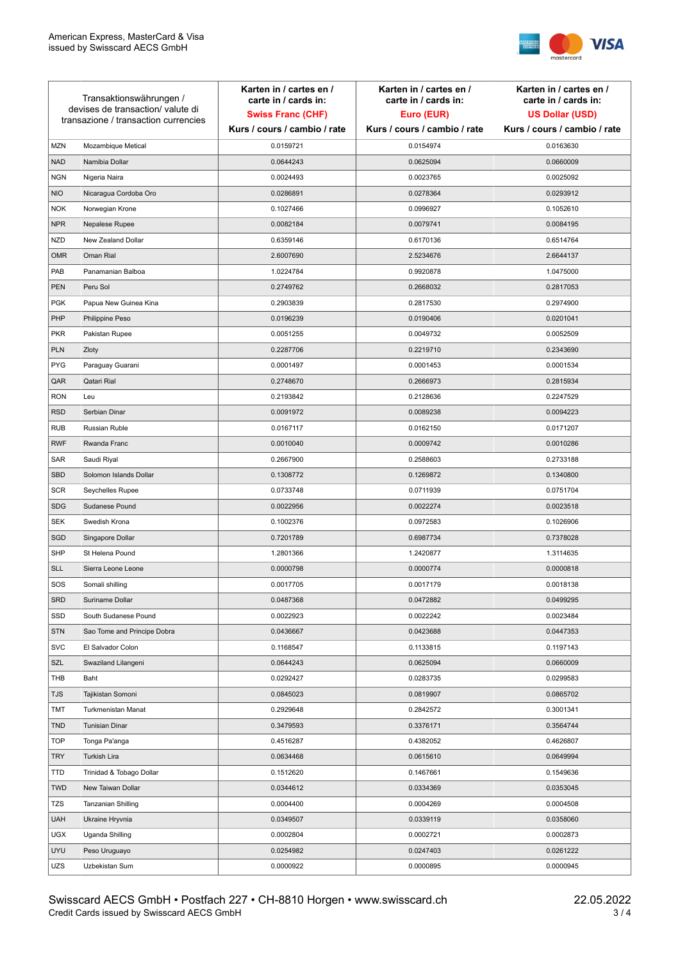

| Transaktionswährungen /<br>devises de transaction/valute di<br>transazione / transaction currencies |                             | Karten in / cartes en /<br>carte in / cards in:<br><b>Swiss Franc (CHF)</b><br>Kurs / cours / cambio / rate | Karten in / cartes en /<br>carte in / cards in:<br>Euro (EUR)<br>Kurs / cours / cambio / rate | Karten in / cartes en /<br>carte in / cards in:<br><b>US Dollar (USD)</b><br>Kurs / cours / cambio / rate |
|-----------------------------------------------------------------------------------------------------|-----------------------------|-------------------------------------------------------------------------------------------------------------|-----------------------------------------------------------------------------------------------|-----------------------------------------------------------------------------------------------------------|
|                                                                                                     |                             |                                                                                                             |                                                                                               |                                                                                                           |
| <b>MZN</b>                                                                                          | Mozambique Metical          | 0.0159721                                                                                                   | 0.0154974                                                                                     | 0.0163630                                                                                                 |
| <b>NAD</b>                                                                                          | Namibia Dollar              | 0.0644243                                                                                                   | 0.0625094                                                                                     | 0.0660009                                                                                                 |
| <b>NGN</b>                                                                                          | Nigeria Naira               | 0.0024493                                                                                                   | 0.0023765                                                                                     | 0.0025092                                                                                                 |
| <b>NIO</b>                                                                                          | Nicaragua Cordoba Oro       | 0.0286891                                                                                                   | 0.0278364                                                                                     | 0.0293912                                                                                                 |
| <b>NOK</b>                                                                                          | Norwegian Krone             | 0.1027466                                                                                                   | 0.0996927                                                                                     | 0.1052610                                                                                                 |
| <b>NPR</b>                                                                                          | Nepalese Rupee              | 0.0082184                                                                                                   | 0.0079741                                                                                     | 0.0084195                                                                                                 |
| <b>NZD</b>                                                                                          | New Zealand Dollar          | 0.6359146                                                                                                   | 0.6170136                                                                                     | 0.6514764                                                                                                 |
| <b>OMR</b>                                                                                          | Oman Rial                   | 2.6007690                                                                                                   | 2.5234676                                                                                     | 2.6644137                                                                                                 |
| PAB                                                                                                 | Panamanian Balboa           | 1.0224784                                                                                                   | 0.9920878                                                                                     | 1.0475000                                                                                                 |
| <b>PEN</b>                                                                                          | Peru Sol                    | 0.2749762                                                                                                   | 0.2668032                                                                                     | 0.2817053                                                                                                 |
| <b>PGK</b>                                                                                          | Papua New Guinea Kina       | 0.2903839                                                                                                   | 0.2817530                                                                                     | 0.2974900                                                                                                 |
| PHP                                                                                                 | Philippine Peso             | 0.0196239                                                                                                   | 0.0190406                                                                                     | 0.0201041                                                                                                 |
| <b>PKR</b>                                                                                          | Pakistan Rupee              | 0.0051255                                                                                                   | 0.0049732                                                                                     | 0.0052509                                                                                                 |
| <b>PLN</b>                                                                                          | Zloty                       | 0.2287706                                                                                                   | 0.2219710                                                                                     | 0.2343690                                                                                                 |
| <b>PYG</b>                                                                                          | Paraguay Guarani            | 0.0001497                                                                                                   | 0.0001453                                                                                     | 0.0001534                                                                                                 |
| QAR                                                                                                 | Qatari Rial                 | 0.2748670                                                                                                   | 0.2666973                                                                                     | 0.2815934                                                                                                 |
| <b>RON</b>                                                                                          | Leu                         | 0.2193842                                                                                                   | 0.2128636                                                                                     | 0.2247529                                                                                                 |
| <b>RSD</b>                                                                                          | Serbian Dinar               | 0.0091972                                                                                                   | 0.0089238                                                                                     | 0.0094223                                                                                                 |
| <b>RUB</b>                                                                                          | Russian Ruble               | 0.0167117                                                                                                   | 0.0162150                                                                                     | 0.0171207                                                                                                 |
| <b>RWF</b>                                                                                          | Rwanda Franc                | 0.0010040                                                                                                   | 0.0009742                                                                                     | 0.0010286                                                                                                 |
| SAR                                                                                                 | Saudi Riyal                 | 0.2667900                                                                                                   | 0.2588603                                                                                     | 0.2733188                                                                                                 |
| <b>SBD</b>                                                                                          | Solomon Islands Dollar      | 0.1308772                                                                                                   | 0.1269872                                                                                     | 0.1340800                                                                                                 |
| <b>SCR</b>                                                                                          | Seychelles Rupee            | 0.0733748                                                                                                   | 0.0711939                                                                                     | 0.0751704                                                                                                 |
| <b>SDG</b>                                                                                          | Sudanese Pound              | 0.0022956                                                                                                   | 0.0022274                                                                                     | 0.0023518                                                                                                 |
| <b>SEK</b>                                                                                          | Swedish Krona               | 0.1002376                                                                                                   | 0.0972583                                                                                     | 0.1026906                                                                                                 |
| SGD                                                                                                 | Singapore Dollar            | 0.7201789                                                                                                   | 0.6987734                                                                                     | 0.7378028                                                                                                 |
| <b>SHP</b>                                                                                          | St Helena Pound             | 1.2801366                                                                                                   | 1.2420877                                                                                     | 1.3114635                                                                                                 |
| <b>SLL</b>                                                                                          | Sierra Leone Leone          | 0.0000798                                                                                                   | 0.0000774                                                                                     | 0.0000818                                                                                                 |
| SOS                                                                                                 | Somali shilling             | 0.0017705                                                                                                   | 0.0017179                                                                                     | 0.0018138                                                                                                 |
| SRD                                                                                                 | Suriname Dollar             | 0.0487368                                                                                                   | 0.0472882                                                                                     | 0.0499295                                                                                                 |
| SSD                                                                                                 | South Sudanese Pound        | 0.0022923                                                                                                   | 0.0022242                                                                                     | 0.0023484                                                                                                 |
| <b>STN</b>                                                                                          | Sao Tome and Principe Dobra | 0.0436667                                                                                                   | 0.0423688                                                                                     | 0.0447353                                                                                                 |
| <b>SVC</b>                                                                                          | El Salvador Colon           | 0.1168547                                                                                                   | 0.1133815                                                                                     | 0.1197143                                                                                                 |
| SZL                                                                                                 | Swaziland Lilangeni         | 0.0644243                                                                                                   | 0.0625094                                                                                     | 0.0660009                                                                                                 |
| THB                                                                                                 | Baht                        | 0.0292427                                                                                                   | 0.0283735                                                                                     | 0.0299583                                                                                                 |
| TJS                                                                                                 | Tajikistan Somoni           | 0.0845023                                                                                                   | 0.0819907                                                                                     | 0.0865702                                                                                                 |
| TMT                                                                                                 | Turkmenistan Manat          | 0.2929648                                                                                                   | 0.2842572                                                                                     | 0.3001341                                                                                                 |
| <b>TND</b>                                                                                          | <b>Tunisian Dinar</b>       | 0.3479593                                                                                                   | 0.3376171                                                                                     | 0.3564744                                                                                                 |
| <b>TOP</b>                                                                                          | Tonga Pa'anga               | 0.4516287                                                                                                   | 0.4382052                                                                                     | 0.4626807                                                                                                 |
| <b>TRY</b>                                                                                          | Turkish Lira                | 0.0634468                                                                                                   | 0.0615610                                                                                     | 0.0649994                                                                                                 |
| TTD                                                                                                 | Trinidad & Tobago Dollar    | 0.1512620                                                                                                   | 0.1467661                                                                                     | 0.1549636                                                                                                 |
| <b>TWD</b>                                                                                          | New Taiwan Dollar           | 0.0344612                                                                                                   | 0.0334369                                                                                     | 0.0353045                                                                                                 |
| <b>TZS</b>                                                                                          | Tanzanian Shilling          | 0.0004400                                                                                                   | 0.0004269                                                                                     | 0.0004508                                                                                                 |
| <b>UAH</b>                                                                                          | Ukraine Hryvnia             | 0.0349507                                                                                                   | 0.0339119                                                                                     | 0.0358060                                                                                                 |
| <b>UGX</b>                                                                                          | Uganda Shilling             | 0.0002804                                                                                                   | 0.0002721                                                                                     | 0.0002873                                                                                                 |
| <b>UYU</b>                                                                                          | Peso Uruguayo               | 0.0254982                                                                                                   | 0.0247403                                                                                     | 0.0261222                                                                                                 |
| UZS                                                                                                 | Uzbekistan Sum              | 0.0000922                                                                                                   | 0.0000895                                                                                     | 0.0000945                                                                                                 |